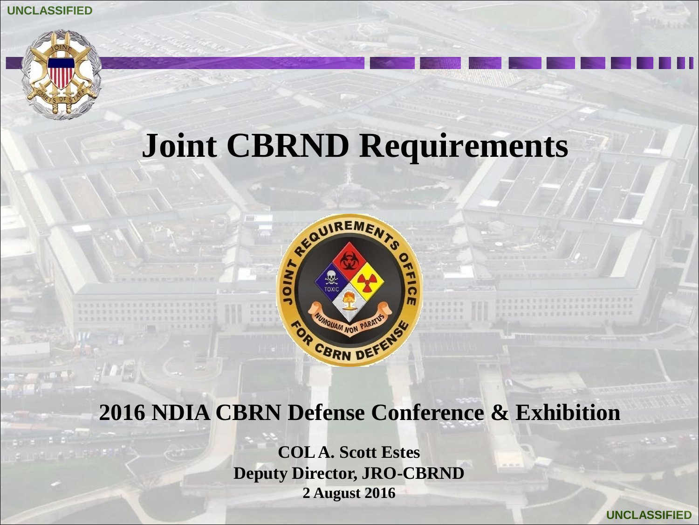## **Joint CBRND Requirements**



#### **2016 NDIA CBRN Defense Conference & Exhibition**

**COL A. Scott Estes Deputy Director, JRO-CBRND 2 August 2016**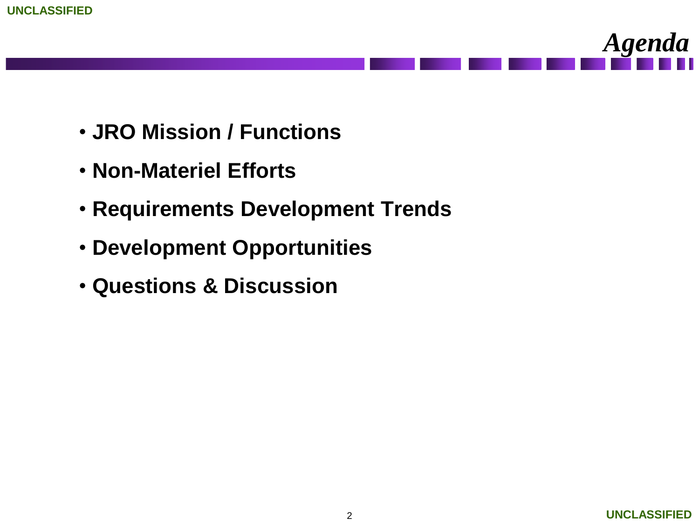



- **JRO Mission / Functions**
- **Non-Materiel Efforts**
- **Requirements Development Trends**
- **Development Opportunities**
- **Questions & Discussion**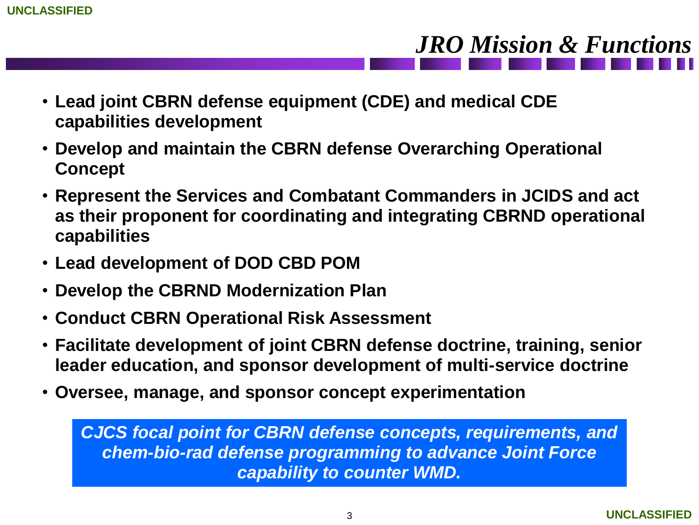- **Lead joint CBRN defense equipment (CDE) and medical CDE capabilities development**
- **Develop and maintain the CBRN defense Overarching Operational Concept**
- **Represent the Services and Combatant Commanders in JCIDS and act as their proponent for coordinating and integrating CBRND operational capabilities**
- **Lead development of DOD CBD POM**
- **Develop the CBRND Modernization Plan**
- **Conduct CBRN Operational Risk Assessment**
- **Facilitate development of joint CBRN defense doctrine, training, senior leader education, and sponsor development of multi-service doctrine**
- **Oversee, manage, and sponsor concept experimentation**

*CJCS focal point for CBRN defense concepts, requirements, and chem-bio-rad defense programming to advance Joint Force capability to counter WMD.*

*JRO Mission & Functions*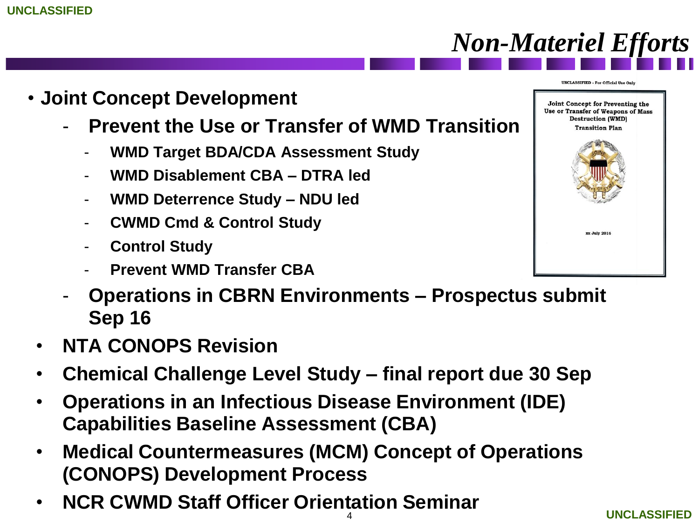- **Joint Concept Development**
	- **Prevent the Use or Transfer of WMD Transition**
		- **WMD Target BDA/CDA Assessment Study**
		- **WMD Disablement CBA – DTRA led**
		- **WMD Deterrence Study – NDU led**
		- **CWMD Cmd & Control Study**
		- **Control Study**
		- **Prevent WMD Transfer CBA**

- **Operations in CBRN Environments – Prospectus submit Sep 16**
- **NTA CONOPS Revision**
- **Chemical Challenge Level Study – final report due 30 Sep**
- **Operations in an Infectious Disease Environment (IDE) Capabilities Baseline Assessment (CBA)**
- **Medical Countermeasures (MCM) Concept of Operations (CONOPS) Development Process**
- **NCR CWMD Staff Officer Orientation Seminar**





**UNCLASSIFIED - For Official Use Only** 

*Non-Materiel Efforts*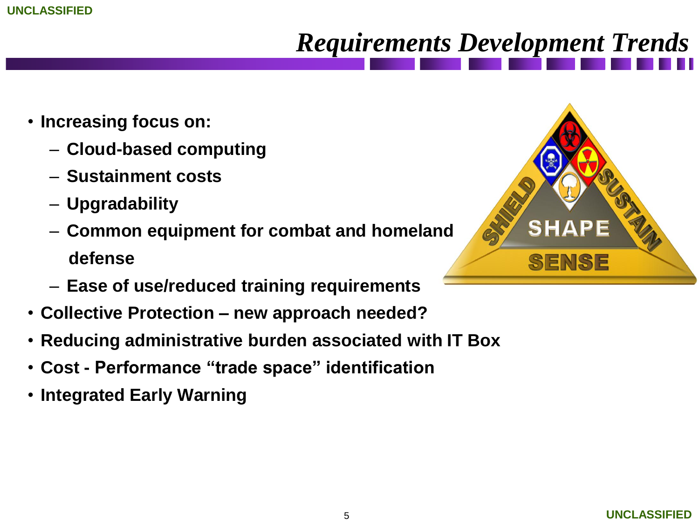### *Requirements Development Trends*

- **Increasing focus on:**
	- **Cloud-based computing**
	- **Sustainment costs**
	- **Upgradability**
	- **Common equipment for combat and homeland defense**
	- **Ease of use/reduced training requirements**
- **Collective Protection – new approach needed?**
- **Reducing administrative burden associated with IT Box**
- **Cost - Performance "trade space" identification**
- **Integrated Early Warning**

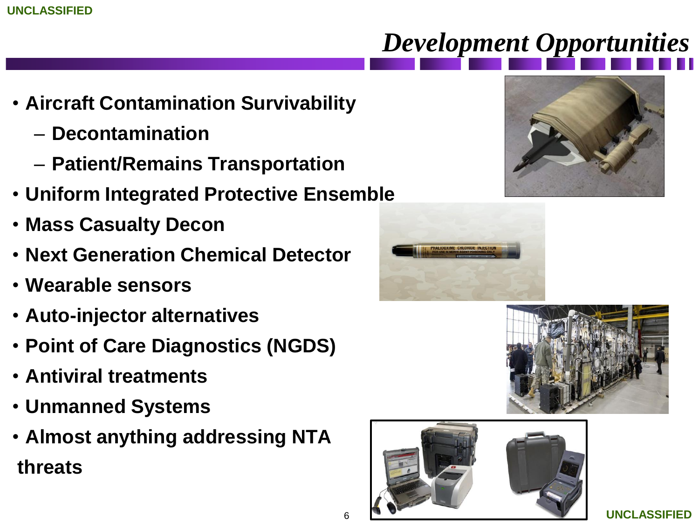# *Development Opportunities*

- **Aircraft Contamination Survivability**
	- **Decontamination**
	- **Patient/Remains Transportation**
- **Uniform Integrated Protective Ensemble**
- **Mass Casualty Decon**
- **Next Generation Chemical Detector**
- **Wearable sensors**
- **Auto-injector alternatives**
- **Point of Care Diagnostics (NGDS)**
- **Antiviral treatments**
- **Unmanned Systems**
- **Almost anything addressing NTA threats**







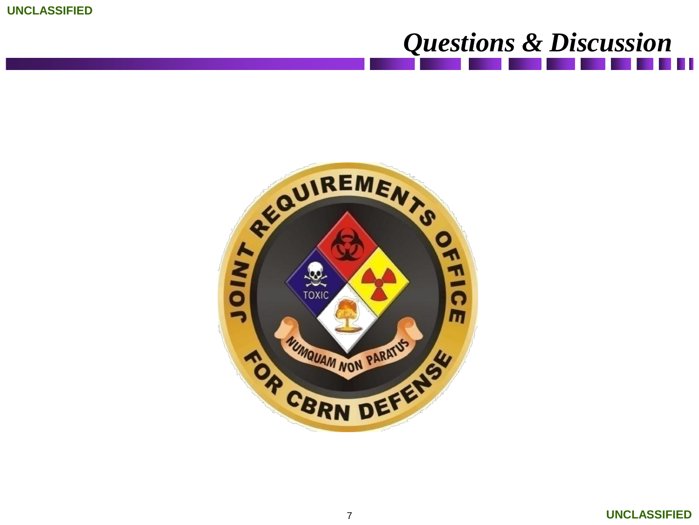

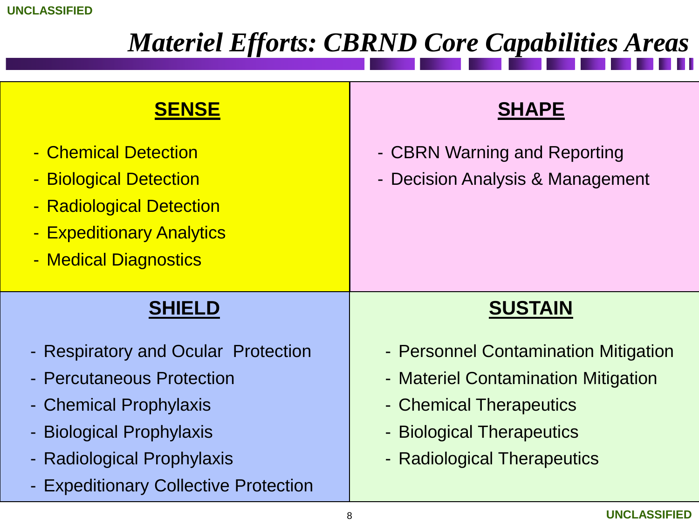#### *Materiel Efforts: CBRND Core Capabilities Areas*

#### **SUSTAIN** - Personnel Contamination Mitigation - Materiel Contamination Mitigation - Chemical Therapeutics - Biological Therapeutics - Radiological Therapeutics  **SHAPE** - CBRN Warning and Reporting Decision Analysis & Management **SENSE** - Chemical Detection - Biological Detection - Radiological Detection - Expeditionary Analytics - Medical Diagnostics **SHIELD** - Respiratory and Ocular Protection - Percutaneous Protection - Chemical Prophylaxis - Biological Prophylaxis - Radiological Prophylaxis - Expeditionary Collective Protection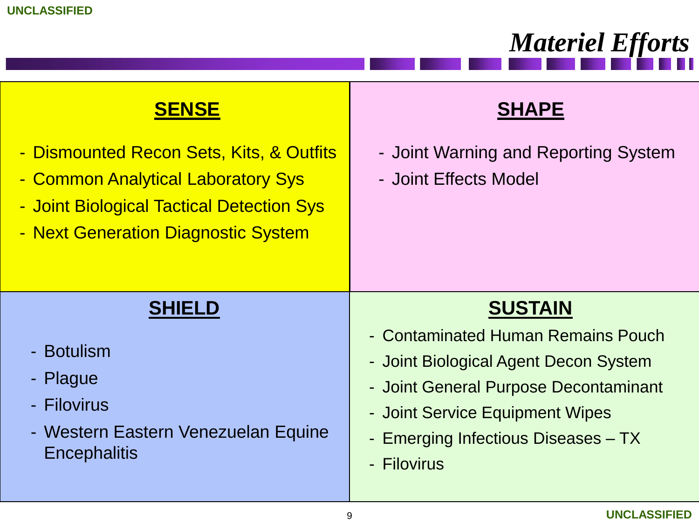|                                                                                                                                                                    | <b>Materiel Efforts</b>                                                                                                                                                                                                         |
|--------------------------------------------------------------------------------------------------------------------------------------------------------------------|---------------------------------------------------------------------------------------------------------------------------------------------------------------------------------------------------------------------------------|
| <b>SENSE</b>                                                                                                                                                       | <b>SHAPE</b>                                                                                                                                                                                                                    |
| - Dismounted Recon Sets, Kits, & Outfits<br>- Common Analytical Laboratory Sys<br>- Joint Biological Tactical Detection Sys<br>- Next Generation Diagnostic System | - Joint Warning and Reporting System<br>- Joint Effects Model                                                                                                                                                                   |
| <b>SHIELD</b><br>- Botulism<br>- Plague<br>- Filovirus<br>- Western Eastern Venezuelan Equine<br><b>Encephalitis</b>                                               | <b>SUSTAIN</b><br>- Contaminated Human Remains Pouch<br>- Joint Biological Agent Decon System<br>- Joint General Purpose Decontaminant<br>- Joint Service Equipment Wipes<br>- Emerging Infectious Diseases – TX<br>- Filovirus |